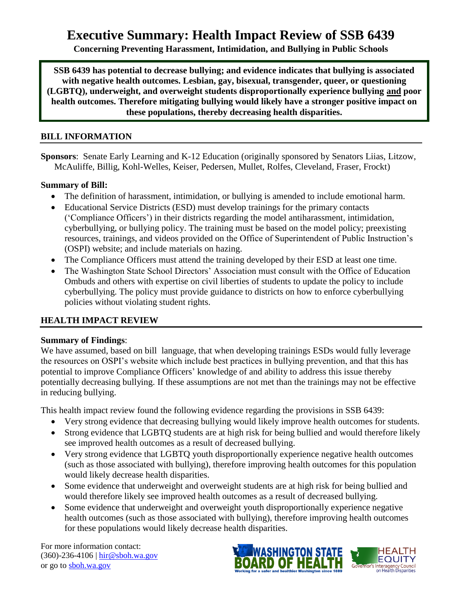# **Executive Summary: Health Impact Review of SSB 6439**

**Concerning Preventing Harassment, Intimidation, and Bullying in Public Schools**

**SSB 6439 has potential to decrease bullying; and evidence indicates that bullying is associated with negative health outcomes. Lesbian, gay, bisexual, transgender, queer, or questioning (LGBTQ), underweight, and overweight students disproportionally experience bullying and poor health outcomes. Therefore mitigating bullying would likely have a stronger positive impact on these populations, thereby decreasing health disparities.**

# **BILL INFORMATION**

**Sponsors**: Senate Early Learning and K-12 Education (originally sponsored by Senators Liias, Litzow, McAuliffe, Billig, Kohl-Welles, Keiser, Pedersen, Mullet, Rolfes, Cleveland, Fraser, Frockt)

# **Summary of Bill:**

- The definition of harassment, intimidation, or bullying is amended to include emotional harm.
- Educational Service Districts (ESD) must develop trainings for the primary contacts ('Compliance Officers') in their districts regarding the model antiharassment, intimidation, cyberbullying, or bullying policy. The training must be based on the model policy; preexisting resources, trainings, and videos provided on the Office of Superintendent of Public Instruction's (OSPI) website; and include materials on hazing.
- The Compliance Officers must attend the training developed by their ESD at least one time.
- The Washington State School Directors' Association must consult with the Office of Education Ombuds and others with expertise on civil liberties of students to update the policy to include cyberbullying. The policy must provide guidance to districts on how to enforce cyberbullying policies without violating student rights.

# **HEALTH IMPACT REVIEW**

# **Summary of Findings**:

We have assumed, based on bill language, that when developing trainings ESDs would fully leverage the resources on OSPI's website which include best practices in bullying prevention, and that this has potential to improve Compliance Officers' knowledge of and ability to address this issue thereby potentially decreasing bullying. If these assumptions are not met than the trainings may not be effective in reducing bullying.

This health impact review found the following evidence regarding the provisions in SSB 6439:

- Very strong evidence that decreasing bullying would likely improve health outcomes for students.
- Strong evidence that LGBTQ students are at high risk for being bullied and would therefore likely see improved health outcomes as a result of decreased bullying.
- Very strong evidence that LGBTQ youth disproportionally experience negative health outcomes (such as those associated with bullying), therefore improving health outcomes for this population would likely decrease health disparities.
- Some evidence that underweight and overweight students are at high risk for being bullied and would therefore likely see improved health outcomes as a result of decreased bullying.
- Some evidence that underweight and overweight youth disproportionally experience negative health outcomes (such as those associated with bullying), therefore improving health outcomes for these populations would likely decrease health disparities.

For more information contact: (360)-236-4106 | [hir@sboh.wa.gov](mailto:hir@sboh.wa.gov) or go to [sboh.wa.gov](http://sboh.wa.gov/)

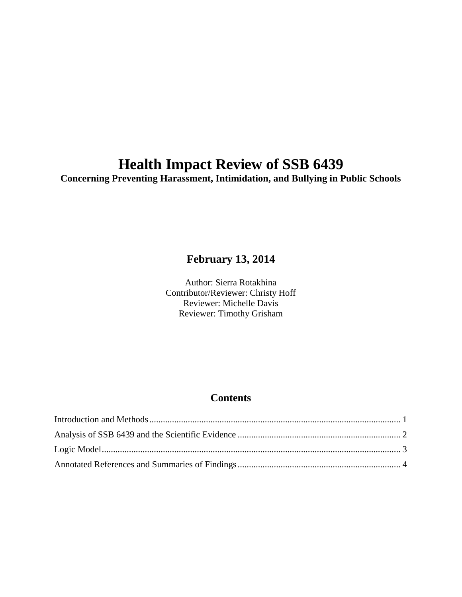# **Health Impact Review of SSB 6439**

**Concerning Preventing Harassment, Intimidation, and Bullying in Public Schools**

# **February 13, 2014**

Author: Sierra Rotakhina Contributor/Reviewer: Christy Hoff Reviewer: Michelle Davis Reviewer: Timothy Grisham

# **Contents**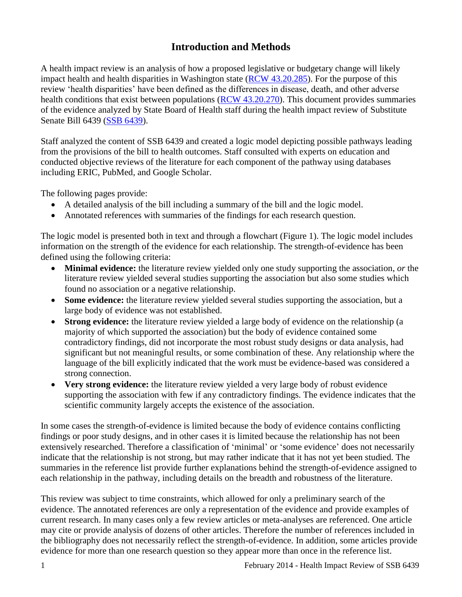# **Introduction and Methods**

<span id="page-2-0"></span>A health impact review is an analysis of how a proposed legislative or budgetary change will likely impact health and health disparities in Washington state [\(RCW 43.20.285\)](http://apps.leg.wa.gov/rcw/default.aspx?cite=43.20.285). For the purpose of this review 'health disparities' have been defined as the differences in disease, death, and other adverse health conditions that exist between populations [\(RCW 43.20.270\)](http://apps.leg.wa.gov/rcw/default.aspx?cite=43.20.270). This document provides summaries of the evidence analyzed by State Board of Health staff during the health impact review of Substitute Senate Bill 6439 [\(SSB 6439\)](http://apps.leg.wa.gov/billinfo/summary.aspx?bill=6439&year=2014).

Staff analyzed the content of SSB 6439 and created a logic model depicting possible pathways leading from the provisions of the bill to health outcomes. Staff consulted with experts on education and conducted objective reviews of the literature for each component of the pathway using databases including ERIC, PubMed, and Google Scholar.

The following pages provide:

- A detailed analysis of the bill including a summary of the bill and the logic model.
- Annotated references with summaries of the findings for each research question.

The logic model is presented both in text and through a flowchart (Figure 1). The logic model includes information on the strength of the evidence for each relationship. The strength-of-evidence has been defined using the following criteria:

- **Minimal evidence:** the literature review yielded only one study supporting the association, *or* the literature review yielded several studies supporting the association but also some studies which found no association or a negative relationship.
- **Some evidence:** the literature review yielded several studies supporting the association, but a large body of evidence was not established.
- **Strong evidence:** the literature review yielded a large body of evidence on the relationship (a majority of which supported the association) but the body of evidence contained some contradictory findings, did not incorporate the most robust study designs or data analysis, had significant but not meaningful results, or some combination of these. Any relationship where the language of the bill explicitly indicated that the work must be evidence-based was considered a strong connection.
- **Very strong evidence:** the literature review yielded a very large body of robust evidence supporting the association with few if any contradictory findings. The evidence indicates that the scientific community largely accepts the existence of the association.

In some cases the strength-of-evidence is limited because the body of evidence contains conflicting findings or poor study designs, and in other cases it is limited because the relationship has not been extensively researched. Therefore a classification of 'minimal' or 'some evidence' does not necessarily indicate that the relationship is not strong, but may rather indicate that it has not yet been studied. The summaries in the reference list provide further explanations behind the strength-of-evidence assigned to each relationship in the pathway, including details on the breadth and robustness of the literature.

This review was subject to time constraints, which allowed for only a preliminary search of the evidence. The annotated references are only a representation of the evidence and provide examples of current research. In many cases only a few review articles or meta-analyses are referenced. One article may cite or provide analysis of dozens of other articles. Therefore the number of references included in the bibliography does not necessarily reflect the strength-of-evidence. In addition, some articles provide evidence for more than one research question so they appear more than once in the reference list.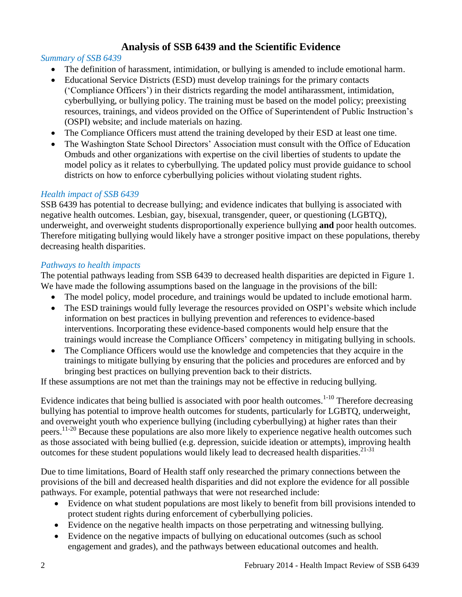# **Analysis of SSB 6439 and the Scientific Evidence**

# <span id="page-3-0"></span>*Summary of SSB 6439*

- The definition of harassment, intimidation, or bullying is amended to include emotional harm.
- Educational Service Districts (ESD) must develop trainings for the primary contacts ('Compliance Officers') in their districts regarding the model antiharassment, intimidation, cyberbullying, or bullying policy. The training must be based on the model policy; preexisting resources, trainings, and videos provided on the Office of Superintendent of Public Instruction's (OSPI) website; and include materials on hazing.
- The Compliance Officers must attend the training developed by their ESD at least one time.
- The Washington State School Directors' Association must consult with the Office of Education Ombuds and other organizations with expertise on the civil liberties of students to update the model policy as it relates to cyberbullying. The updated policy must provide guidance to school districts on how to enforce cyberbullying policies without violating student rights.

#### *Health impact of SSB 6439*

SSB 6439 has potential to decrease bullying; and evidence indicates that bullying is associated with negative health outcomes. Lesbian, gay, bisexual, transgender, queer, or questioning (LGBTQ), underweight, and overweight students disproportionally experience bullying **and** poor health outcomes. Therefore mitigating bullying would likely have a stronger positive impact on these populations, thereby decreasing health disparities.

#### *Pathways to health impacts*

The potential pathways leading from SSB 6439 to decreased health disparities are depicted in Figure 1. We have made the following assumptions based on the language in the provisions of the bill:

- The model policy, model procedure, and trainings would be updated to include emotional harm.
- The ESD trainings would fully leverage the resources provided on OSPI's website which include information on best practices in bullying prevention and references to evidence-based interventions. Incorporating these evidence-based components would help ensure that the trainings would increase the Compliance Officers' competency in mitigating bullying in schools.
- The Compliance Officers would use the knowledge and competencies that they acquire in the trainings to mitigate bullying by ensuring that the policies and procedures are enforced and by bringing best practices on bullying prevention back to their districts.

If these assumptions are not met than the trainings may not be effective in reducing bullying.

Evidence indicates that being bullied is associated with poor health outcomes.<sup>1-10</sup> Therefore decreasing bullying has potential to improve health outcomes for students, particularly for LGBTQ, underweight, and overweight youth who experience bullying (including cyberbullying) at higher rates than their peers. 11-20 Because these populations are also more likely to experience negative health outcomes such as those associated with being bullied (e.g. depression, suicide ideation or attempts), improving health outcomes for these student populations would likely lead to decreased health disparities.<sup>21-31</sup>

Due to time limitations, Board of Health staff only researched the primary connections between the provisions of the bill and decreased health disparities and did not explore the evidence for all possible pathways. For example, potential pathways that were not researched include:

- Evidence on what student populations are most likely to benefit from bill provisions intended to protect student rights during enforcement of cyberbullying policies.
- Evidence on the negative health impacts on those perpetrating and witnessing bullying.
- Evidence on the negative impacts of bullying on educational outcomes (such as school engagement and grades), and the pathways between educational outcomes and health.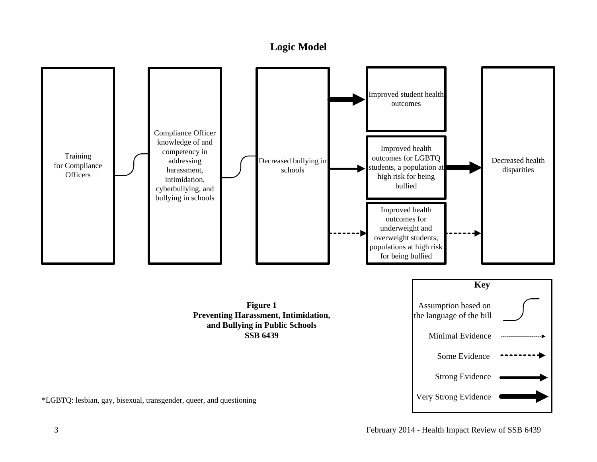# **Logic Model**

<span id="page-4-0"></span>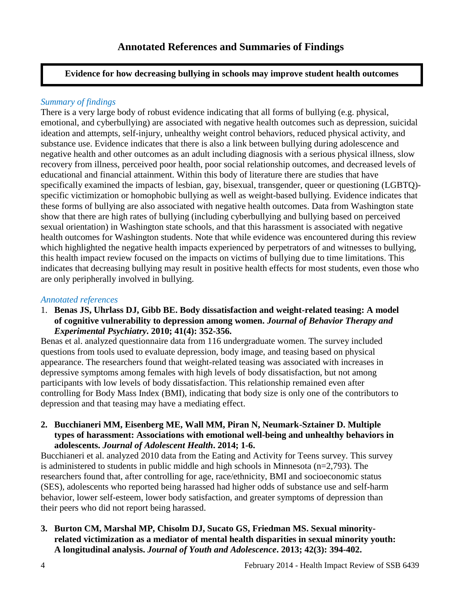# <span id="page-5-0"></span>**Evidence for how decreasing bullying in schools may improve student health outcomes**

# *Summary of findings*

There is a very large body of robust evidence indicating that all forms of bullying (e.g. physical, emotional, and cyberbullying) are associated with negative health outcomes such as depression, suicidal ideation and attempts, self-injury, unhealthy weight control behaviors, reduced physical activity, and substance use. Evidence indicates that there is also a link between bullying during adolescence and negative health and other outcomes as an adult including diagnosis with a serious physical illness, slow recovery from illness, perceived poor health, poor social relationship outcomes, and decreased levels of educational and financial attainment. Within this body of literature there are studies that have specifically examined the impacts of lesbian, gay, bisexual, transgender, queer or questioning (LGBTQ) specific victimization or homophobic bullying as well as weight-based bullying. Evidence indicates that these forms of bullying are also associated with negative health outcomes. Data from Washington state show that there are high rates of bullying (including cyberbullying and bullying based on perceived sexual orientation) in Washington state schools, and that this harassment is associated with negative health outcomes for Washington students. Note that while evidence was encountered during this review which highlighted the negative health impacts experienced by perpetrators of and witnesses to bullying, this health impact review focused on the impacts on victims of bullying due to time limitations. This indicates that decreasing bullying may result in positive health effects for most students, even those who are only peripherally involved in bullying.

#### *Annotated references*

1. **Benas JS, Uhrlass DJ, Gibb BE. Body dissatisfaction and weight-related teasing: A model of cognitive vulnerability to depression among women.** *Journal of Behavior Therapy and Experimental Psychiatry***. 2010; 41(4): 352-356.**

Benas et al. analyzed questionnaire data from 116 undergraduate women. The survey included questions from tools used to evaluate depression, body image, and teasing based on physical appearance. The researchers found that weight-related teasing was associated with increases in depressive symptoms among females with high levels of body dissatisfaction, but not among participants with low levels of body dissatisfaction. This relationship remained even after controlling for Body Mass Index (BMI), indicating that body size is only one of the contributors to depression and that teasing may have a mediating effect.

### **2. Bucchianeri MM, Eisenberg ME, Wall MM, Piran N, Neumark-Sztainer D. Multiple types of harassment: Associations with emotional well-being and unhealthy behaviors in adolescents.** *Journal of Adolescent Health***. 2014; 1-6.**

Bucchianeri et al. analyzed 2010 data from the Eating and Activity for Teens survey. This survey is administered to students in public middle and high schools in Minnesota  $(n=2,793)$ . The researchers found that, after controlling for age, race/ethnicity, BMI and socioeconomic status (SES), adolescents who reported being harassed had higher odds of substance use and self-harm behavior, lower self-esteem, lower body satisfaction, and greater symptoms of depression than their peers who did not report being harassed.

# **3. Burton CM, Marshal MP, Chisolm DJ, Sucato GS, Friedman MS. Sexual minorityrelated victimization as a mediator of mental health disparities in sexual minority youth: A longitudinal analysis.** *Journal of Youth and Adolescence***. 2013; 42(3): 394-402.**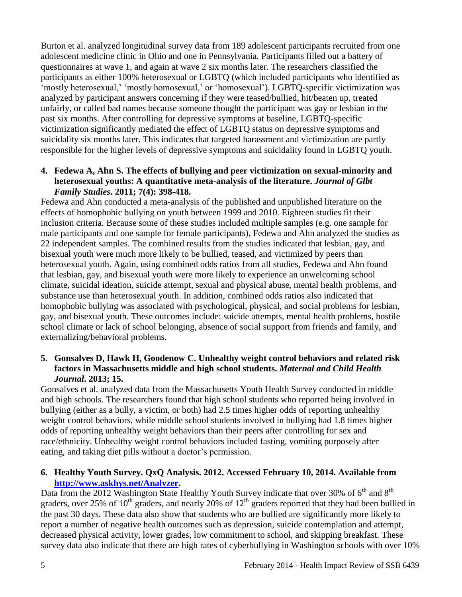Burton et al. analyzed longitudinal survey data from 189 adolescent participants recruited from one adolescent medicine clinic in Ohio and one in Pennsylvania. Participants filled out a battery of questionnaires at wave 1, and again at wave 2 six months later. The researchers classified the participants as either 100% heterosexual or LGBTQ (which included participants who identified as 'mostly heterosexual,' 'mostly homosexual,' or 'homosexual'). LGBTQ-specific victimization was analyzed by participant answers concerning if they were teased/bullied, hit/beaten up, treated unfairly, or called bad names because someone thought the participant was gay or lesbian in the past six months. After controlling for depressive symptoms at baseline, LGBTQ-specific victimization significantly mediated the effect of LGBTQ status on depressive symptoms and suicidality six months later. This indicates that targeted harassment and victimization are partly responsible for the higher levels of depressive symptoms and suicidality found in LGBTQ youth.

#### **4. Fedewa A, Ahn S. The effects of bullying and peer victimization on sexual-minority and heterosexual youths: A quantitative meta-analysis of the literature.** *Journal of Glbt Family Studies***. 2011; 7(4): 398-418.**

Fedewa and Ahn conducted a meta-analysis of the published and unpublished literature on the effects of homophobic bullying on youth between 1999 and 2010. Eighteen studies fit their inclusion criteria. Because some of these studies included multiple samples (e.g. one sample for male participants and one sample for female participants), Fedewa and Ahn analyzed the studies as 22 independent samples. The combined results from the studies indicated that lesbian, gay, and bisexual youth were much more likely to be bullied, teased, and victimized by peers than heterosexual youth. Again, using combined odds ratios from all studies, Fedewa and Ahn found that lesbian, gay, and bisexual youth were more likely to experience an unwelcoming school climate, suicidal ideation, suicide attempt, sexual and physical abuse, mental health problems, and substance use than heterosexual youth. In addition, combined odds ratios also indicated that homophobic bullying was associated with psychological, physical, and social problems for lesbian, gay, and bisexual youth. These outcomes include: suicide attempts, mental health problems, hostile school climate or lack of school belonging, absence of social support from friends and family, and externalizing/behavioral problems.

# **5. Gonsalves D, Hawk H, Goodenow C. Unhealthy weight control behaviors and related risk factors in Massachusetts middle and high school students.** *Maternal and Child Health Journal***. 2013; 15.**

Gonsalves et al. analyzed data from the Massachusetts Youth Health Survey conducted in middle and high schools. The researchers found that high school students who reported being involved in bullying (either as a bully, a victim, or both) had 2.5 times higher odds of reporting unhealthy weight control behaviors, while middle school students involved in bullying had 1.8 times higher odds of reporting unhealthy weight behaviors than their peers after controlling for sex and race/ethnicity. Unhealthy weight control behaviors included fasting, vomiting purposely after eating, and taking diet pills without a doctor's permission.

## **6. Healthy Youth Survey. QxQ Analysis. 2012. Accessed February 10, 2014. Available from [http://www.askhys.net/Analyzer.](http://www.askhys.net/Analyzer)**

Data from the 2012 Washington State Healthy Youth Survey indicate that over 30% of  $6<sup>th</sup>$  and  $8<sup>th</sup>$ graders, over 25% of  $10^{th}$  graders, and nearly 20% of  $12^{th}$  graders reported that they had been bullied in the past 30 days. These data also show that students who are bullied are significantly more likely to report a number of negative health outcomes such as depression, suicide contemplation and attempt, decreased physical activity, lower grades, low commitment to school, and skipping breakfast. These survey data also indicate that there are high rates of cyberbullying in Washington schools with over 10%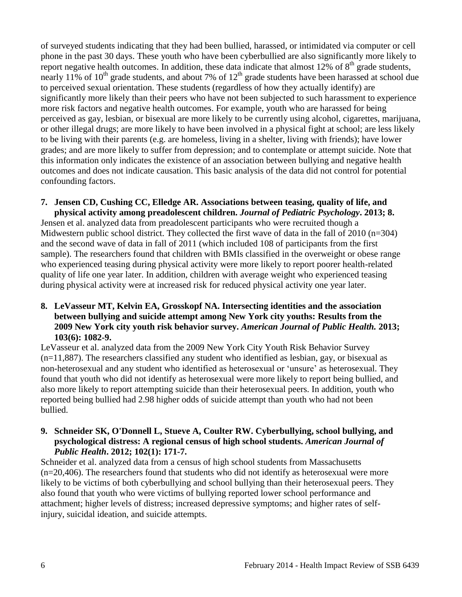of surveyed students indicating that they had been bullied, harassed, or intimidated via computer or cell phone in the past 30 days. These youth who have been cyberbullied are also significantly more likely to report negative health outcomes. In addition, these data indicate that almost  $12\%$  of  $8<sup>th</sup>$  grade students, nearly 11% of 10<sup>th</sup> grade students, and about 7% of  $12<sup>th</sup>$  grade students have been harassed at school due to perceived sexual orientation. These students (regardless of how they actually identify) are significantly more likely than their peers who have not been subjected to such harassment to experience more risk factors and negative health outcomes. For example, youth who are harassed for being perceived as gay, lesbian, or bisexual are more likely to be currently using alcohol, cigarettes, marijuana, or other illegal drugs; are more likely to have been involved in a physical fight at school; are less likely to be living with their parents (e.g. are homeless, living in a shelter, living with friends); have lower grades; and are more likely to suffer from depression; and to contemplate or attempt suicide. Note that this information only indicates the existence of an association between bullying and negative health outcomes and does not indicate causation. This basic analysis of the data did not control for potential confounding factors.

### **7. Jensen CD, Cushing CC, Elledge AR. Associations between teasing, quality of life, and physical activity among preadolescent children.** *Journal of Pediatric Psychology***. 2013; 8.**

Jensen et al. analyzed data from preadolescent participants who were recruited though a Midwestern public school district. They collected the first wave of data in the fall of 2010 (n=304) and the second wave of data in fall of 2011 (which included 108 of participants from the first sample). The researchers found that children with BMIs classified in the overweight or obese range who experienced teasing during physical activity were more likely to report poorer health-related quality of life one year later. In addition, children with average weight who experienced teasing during physical activity were at increased risk for reduced physical activity one year later.

# **8. LeVasseur MT, Kelvin EA, Grosskopf NA. Intersecting identities and the association between bullying and suicide attempt among New York city youths: Results from the 2009 New York city youth risk behavior survey.** *American Journal of Public Health.* **2013; 103(6): 1082-9.**

LeVasseur et al. analyzed data from the 2009 New York City Youth Risk Behavior Survey  $(n=11,887)$ . The researchers classified any student who identified as lesbian, gay, or bisexual as non-heterosexual and any student who identified as heterosexual or 'unsure' as heterosexual. They found that youth who did not identify as heterosexual were more likely to report being bullied, and also more likely to report attempting suicide than their heterosexual peers. In addition, youth who reported being bullied had 2.98 higher odds of suicide attempt than youth who had not been bullied.

### **9. Schneider SK, O'Donnell L, Stueve A, Coulter RW. Cyberbullying, school bullying, and psychological distress: A regional census of high school students.** *American Journal of Public Health***. 2012; 102(1): 171-7.**

Schneider et al. analyzed data from a census of high school students from Massachusetts (n=20,406). The researchers found that students who did not identify as heterosexual were more likely to be victims of both cyberbullying and school bullying than their heterosexual peers. They also found that youth who were victims of bullying reported lower school performance and attachment; higher levels of distress; increased depressive symptoms; and higher rates of selfinjury, suicidal ideation, and suicide attempts.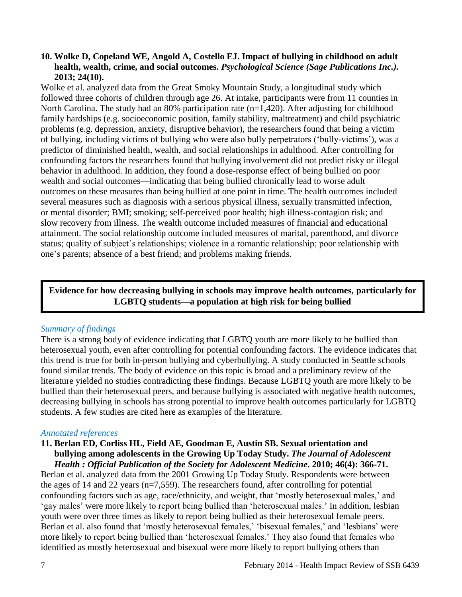# **10. Wolke D, Copeland WE, Angold A, Costello EJ. Impact of bullying in childhood on adult health, wealth, crime, and social outcomes.** *Psychological Science (Sage Publications Inc.).* **2013; 24(10).**

Wolke et al. analyzed data from the Great Smoky Mountain Study, a longitudinal study which followed three cohorts of children through age 26. At intake, participants were from 11 counties in North Carolina. The study had an 80% participation rate (n=1,420). After adjusting for childhood family hardships (e.g. socioeconomic position, family stability, maltreatment) and child psychiatric problems (e.g. depression, anxiety, disruptive behavior), the researchers found that being a victim of bullying, including victims of bullying who were also bully perpetrators ('bully-victims'), was a predictor of diminished health, wealth, and social relationships in adulthood. After controlling for confounding factors the researchers found that bullying involvement did not predict risky or illegal behavior in adulthood. In addition, they found a dose-response effect of being bullied on poor wealth and social outcomes—indicating that being bullied chronically lead to worse adult outcomes on these measures than being bullied at one point in time. The health outcomes included several measures such as diagnosis with a serious physical illness, sexually transmitted infection, or mental disorder; BMI; smoking; self-perceived poor health; high illness-contagion risk; and slow recovery from illness. The wealth outcome included measures of financial and educational attainment. The social relationship outcome included measures of marital, parenthood, and divorce status; quality of subject's relationships; violence in a romantic relationship; poor relationship with one's parents; absence of a best friend; and problems making friends.

**Evidence for how decreasing bullying in schools may improve health outcomes, particularly for LGBTQ students—a population at high risk for being bullied**

#### *Summary of findings*

There is a strong body of evidence indicating that LGBTQ youth are more likely to be bullied than heterosexual youth, even after controlling for potential confounding factors. The evidence indicates that this trend is true for both in-person bullying and cyberbullying. A study conducted in Seattle schools found similar trends. The body of evidence on this topic is broad and a preliminary review of the literature yielded no studies contradicting these findings. Because LGBTQ youth are more likely to be bullied than their heterosexual peers, and because bullying is associated with negative health outcomes, decreasing bullying in schools has strong potential to improve health outcomes particularly for LGBTQ students. A few studies are cited here as examples of the literature.

#### *Annotated references*

#### **11. Berlan ED, Corliss HL, Field AE, Goodman E, Austin SB. Sexual orientation and bullying among adolescents in the Growing Up Today Study.** *The Journal of Adolescent Health : Official Publication of the Society for Adolescent Medicine***. 2010; 46(4): 366-71.**

Berlan et al. analyzed data from the 2001 Growing Up Today Study. Respondents were between the ages of 14 and 22 years (n=7,559). The researchers found, after controlling for potential confounding factors such as age, race/ethnicity, and weight, that 'mostly heterosexual males,' and 'gay males' were more likely to report being bullied than 'heterosexual males.' In addition, lesbian youth were over three times as likely to report being bullied as their heterosexual female peers. Berlan et al. also found that 'mostly heterosexual females,' 'bisexual females,' and 'lesbians' were more likely to report being bullied than 'heterosexual females.' They also found that females who identified as mostly heterosexual and bisexual were more likely to report bullying others than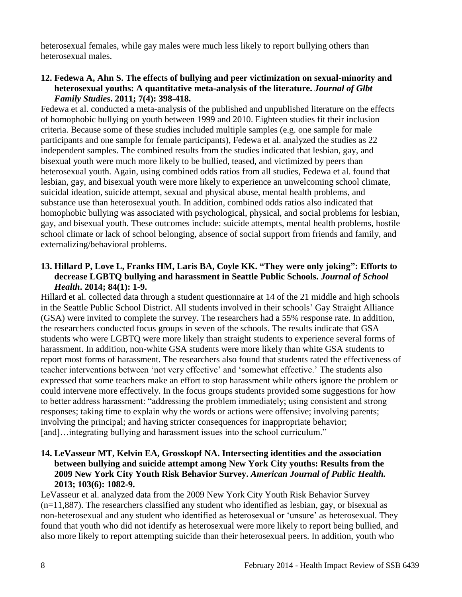heterosexual females, while gay males were much less likely to report bullying others than heterosexual males.

# **12. Fedewa A, Ahn S. The effects of bullying and peer victimization on sexual-minority and heterosexual youths: A quantitative meta-analysis of the literature.** *Journal of Glbt Family Studies***. 2011; 7(4): 398-418.**

Fedewa et al. conducted a meta-analysis of the published and unpublished literature on the effects of homophobic bullying on youth between 1999 and 2010. Eighteen studies fit their inclusion criteria. Because some of these studies included multiple samples (e.g. one sample for male participants and one sample for female participants), Fedewa et al. analyzed the studies as 22 independent samples. The combined results from the studies indicated that lesbian, gay, and bisexual youth were much more likely to be bullied, teased, and victimized by peers than heterosexual youth. Again, using combined odds ratios from all studies, Fedewa et al. found that lesbian, gay, and bisexual youth were more likely to experience an unwelcoming school climate, suicidal ideation, suicide attempt, sexual and physical abuse, mental health problems, and substance use than heterosexual youth. In addition, combined odds ratios also indicated that homophobic bullying was associated with psychological, physical, and social problems for lesbian, gay, and bisexual youth. These outcomes include: suicide attempts, mental health problems, hostile school climate or lack of school belonging, absence of social support from friends and family, and externalizing/behavioral problems.

# **13. Hillard P, Love L, Franks HM, Laris BA, Coyle KK. "They were only joking": Efforts to decrease LGBTQ bullying and harassment in Seattle Public Schools.** *Journal of School Health***. 2014; 84(1): 1-9.**

Hillard et al. collected data through a student questionnaire at 14 of the 21 middle and high schools in the Seattle Public School District. All students involved in their schools' Gay Straight Alliance (GSA) were invited to complete the survey. The researchers had a 55% response rate. In addition, the researchers conducted focus groups in seven of the schools. The results indicate that GSA students who were LGBTQ were more likely than straight students to experience several forms of harassment. In addition, non-white GSA students were more likely than white GSA students to report most forms of harassment. The researchers also found that students rated the effectiveness of teacher interventions between 'not very effective' and 'somewhat effective.' The students also expressed that some teachers make an effort to stop harassment while others ignore the problem or could intervene more effectively. In the focus groups students provided some suggestions for how to better address harassment: "addressing the problem immediately; using consistent and strong responses; taking time to explain why the words or actions were offensive; involving parents; involving the principal; and having stricter consequences for inappropriate behavior; [and]…integrating bullying and harassment issues into the school curriculum."

# **14. LeVasseur MT, Kelvin EA, Grosskopf NA. Intersecting identities and the association between bullying and suicide attempt among New York City youths: Results from the 2009 New York City Youth Risk Behavior Survey.** *American Journal of Public Health.*  **2013; 103(6): 1082-9.**

LeVasseur et al. analyzed data from the 2009 New York City Youth Risk Behavior Survey (n=11,887). The researchers classified any student who identified as lesbian, gay, or bisexual as non-heterosexual and any student who identified as heterosexual or 'unsure' as heterosexual. They found that youth who did not identify as heterosexual were more likely to report being bullied, and also more likely to report attempting suicide than their heterosexual peers. In addition, youth who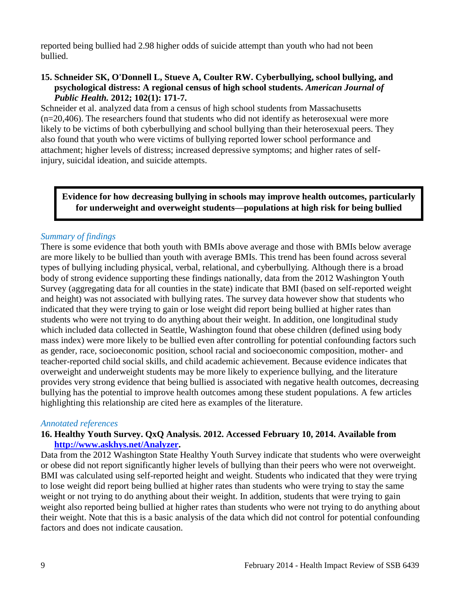reported being bullied had 2.98 higher odds of suicide attempt than youth who had not been bullied.

# **15. Schneider SK, O'Donnell L, Stueve A, Coulter RW. Cyberbullying, school bullying, and psychological distress: A regional census of high school students.** *American Journal of Public Health.* **2012; 102(1): 171-7.**

Schneider et al. analyzed data from a census of high school students from Massachusetts (n=20,406). The researchers found that students who did not identify as heterosexual were more likely to be victims of both cyberbullying and school bullying than their heterosexual peers. They also found that youth who were victims of bullying reported lower school performance and attachment; higher levels of distress; increased depressive symptoms; and higher rates of selfinjury, suicidal ideation, and suicide attempts.

# **Evidence for how decreasing bullying in schools may improve health outcomes, particularly for underweight and overweight students—populations at high risk for being bullied**

# *Summary of findings*

There is some evidence that both youth with BMIs above average and those with BMIs below average are more likely to be bullied than youth with average BMIs. This trend has been found across several types of bullying including physical, verbal, relational, and cyberbullying. Although there is a broad body of strong evidence supporting these findings nationally, data from the 2012 Washington Youth Survey (aggregating data for all counties in the state) indicate that BMI (based on self-reported weight and height) was not associated with bullying rates. The survey data however show that students who indicated that they were trying to gain or lose weight did report being bullied at higher rates than students who were not trying to do anything about their weight. In addition, one longitudinal study which included data collected in Seattle, Washington found that obese children (defined using body mass index) were more likely to be bullied even after controlling for potential confounding factors such as gender, race, socioeconomic position, school racial and socioeconomic composition, mother- and teacher-reported child social skills, and child academic achievement. Because evidence indicates that overweight and underweight students may be more likely to experience bullying, and the literature provides very strong evidence that being bullied is associated with negative health outcomes, decreasing bullying has the potential to improve health outcomes among these student populations. A few articles highlighting this relationship are cited here as examples of the literature.

#### *Annotated references*

## **16. Healthy Youth Survey. QxQ Analysis. 2012. Accessed February 10, 2014. Available from [http://www.askhys.net/Analyzer.](http://www.askhys.net/Analyzer)**

Data from the 2012 Washington State Healthy Youth Survey indicate that students who were overweight or obese did not report significantly higher levels of bullying than their peers who were not overweight. BMI was calculated using self-reported height and weight. Students who indicated that they were trying to lose weight did report being bullied at higher rates than students who were trying to stay the same weight or not trying to do anything about their weight. In addition, students that were trying to gain weight also reported being bullied at higher rates than students who were not trying to do anything about their weight. Note that this is a basic analysis of the data which did not control for potential confounding factors and does not indicate causation.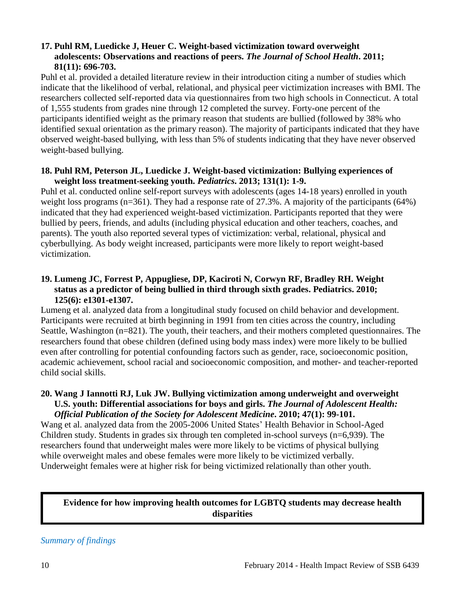# **17. Puhl RM, Luedicke J, Heuer C. Weight-based victimization toward overweight adolescents: Observations and reactions of peers.** *The Journal of School Health***. 2011; 81(11): 696-703.**

Puhl et al. provided a detailed literature review in their introduction citing a number of studies which indicate that the likelihood of verbal, relational, and physical peer victimization increases with BMI. The researchers collected self-reported data via questionnaires from two high schools in Connecticut. A total of 1,555 students from grades nine through 12 completed the survey. Forty-one percent of the participants identified weight as the primary reason that students are bullied (followed by 38% who identified sexual orientation as the primary reason). The majority of participants indicated that they have observed weight-based bullying, with less than 5% of students indicating that they have never observed weight-based bullying.

#### **18. Puhl RM, Peterson JL, Luedicke J. Weight-based victimization: Bullying experiences of weight loss treatment-seeking youth.** *Pediatrics***. 2013; 131(1): 1-9.**

Puhl et al. conducted online self-report surveys with adolescents (ages 14-18 years) enrolled in youth weight loss programs (n=361). They had a response rate of 27.3%. A majority of the participants (64%) indicated that they had experienced weight-based victimization. Participants reported that they were bullied by peers, friends, and adults (including physical education and other teachers, coaches, and parents). The youth also reported several types of victimization: verbal, relational, physical and cyberbullying. As body weight increased, participants were more likely to report weight-based victimization.

# **19. Lumeng JC, Forrest P, Appugliese, DP, Kaciroti N, Corwyn RF, Bradley RH. Weight status as a predictor of being bullied in third through sixth grades. Pediatrics. 2010; 125(6): e1301-e1307.**

Lumeng et al. analyzed data from a longitudinal study focused on child behavior and development. Participants were recruited at birth beginning in 1991 from ten cities across the country, including Seattle, Washington (n=821). The youth, their teachers, and their mothers completed questionnaires. The researchers found that obese children (defined using body mass index) were more likely to be bullied even after controlling for potential confounding factors such as gender, race, socioeconomic position, academic achievement, school racial and socioeconomic composition, and mother- and teacher-reported child social skills.

#### **20. Wang J Iannotti RJ, Luk JW. Bullying victimization among underweight and overweight U.S. youth: Differential associations for boys and girls.** *The Journal of Adolescent Health: Official Publication of the Society for Adolescent Medicine***. 2010; 47(1): 99-101.**

Wang et al. analyzed data from the 2005-2006 United States' Health Behavior in School-Aged Children study. Students in grades six through ten completed in-school surveys (n=6,939). The researchers found that underweight males were more likely to be victims of physical bullying while overweight males and obese females were more likely to be victimized verbally. Underweight females were at higher risk for being victimized relationally than other youth.

# **Evidence for how improving health outcomes for LGBTQ students may decrease health disparities**

*Summary of findings*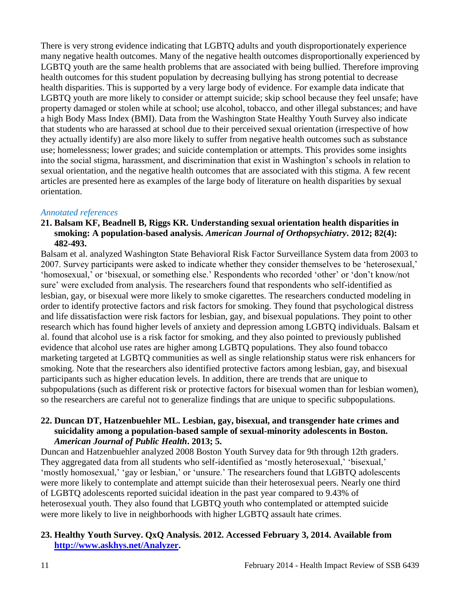There is very strong evidence indicating that LGBTQ adults and youth disproportionately experience many negative health outcomes. Many of the negative health outcomes disproportionally experienced by LGBTQ youth are the same health problems that are associated with being bullied. Therefore improving health outcomes for this student population by decreasing bullying has strong potential to decrease health disparities. This is supported by a very large body of evidence. For example data indicate that LGBTQ youth are more likely to consider or attempt suicide; skip school because they feel unsafe; have property damaged or stolen while at school; use alcohol, tobacco, and other illegal substances; and have a high Body Mass Index (BMI). Data from the Washington State Healthy Youth Survey also indicate that students who are harassed at school due to their perceived sexual orientation (irrespective of how they actually identify) are also more likely to suffer from negative health outcomes such as substance use; homelessness; lower grades; and suicide contemplation or attempts. This provides some insights into the social stigma, harassment, and discrimination that exist in Washington's schools in relation to sexual orientation, and the negative health outcomes that are associated with this stigma. A few recent articles are presented here as examples of the large body of literature on health disparities by sexual orientation.

## *Annotated references*

#### **21. Balsam KF, Beadnell B, Riggs KR. Understanding sexual orientation health disparities in smoking: A population-based analysis.** *American Journal of Orthopsychiatry***. 2012; 82(4): 482-493.**

Balsam et al. analyzed Washington State Behavioral Risk Factor Surveillance System data from 2003 to 2007. Survey participants were asked to indicate whether they consider themselves to be 'heterosexual,' 'homosexual,' or 'bisexual, or something else.' Respondents who recorded 'other' or 'don't know/not sure' were excluded from analysis. The researchers found that respondents who self-identified as lesbian, gay, or bisexual were more likely to smoke cigarettes. The researchers conducted modeling in order to identify protective factors and risk factors for smoking. They found that psychological distress and life dissatisfaction were risk factors for lesbian, gay, and bisexual populations. They point to other research which has found higher levels of anxiety and depression among LGBTQ individuals. Balsam et al. found that alcohol use is a risk factor for smoking, and they also pointed to previously published evidence that alcohol use rates are higher among LGBTQ populations. They also found tobacco marketing targeted at LGBTQ communities as well as single relationship status were risk enhancers for smoking. Note that the researchers also identified protective factors among lesbian, gay, and bisexual participants such as higher education levels. In addition, there are trends that are unique to subpopulations (such as different risk or protective factors for bisexual women than for lesbian women), so the researchers are careful not to generalize findings that are unique to specific subpopulations.

### **22. Duncan DT, Hatzenbuehler ML. Lesbian, gay, bisexual, and transgender hate crimes and suicidality among a population-based sample of sexual-minority adolescents in Boston.**  *American Journal of Public Health***. 2013; 5.**

Duncan and Hatzenbuehler analyzed 2008 Boston Youth Survey data for 9th through 12th graders. They aggregated data from all students who self-identified as 'mostly heterosexual,' 'bisexual,' 'mostly homosexual,' 'gay or lesbian,' or 'unsure.' The researchers found that LGBTQ adolescents were more likely to contemplate and attempt suicide than their heterosexual peers. Nearly one third of LGBTQ adolescents reported suicidal ideation in the past year compared to 9.43% of heterosexual youth. They also found that LGBTQ youth who contemplated or attempted suicide were more likely to live in neighborhoods with higher LGBTQ assault hate crimes.

# **23. Healthy Youth Survey. QxQ Analysis. 2012. Accessed February 3, 2014. Available from [http://www.askhys.net/Analyzer.](http://www.askhys.net/Analyzer)**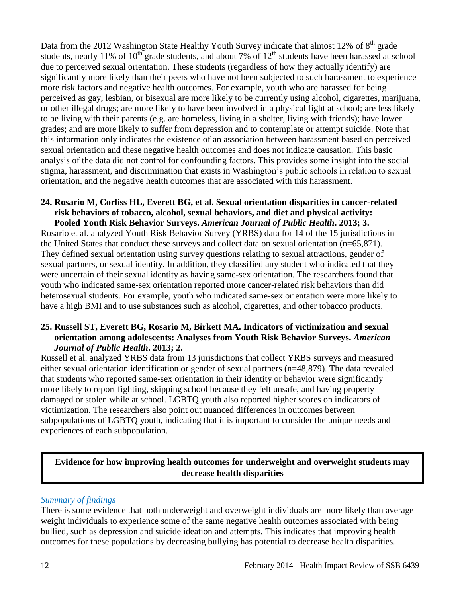Data from the 2012 Washington State Healthy Youth Survey indicate that almost 12% of  $8<sup>th</sup>$  grade students, nearly 11% of  $10^{th}$  grade students, and about 7% of  $12^{th}$  students have been harassed at school due to perceived sexual orientation. These students (regardless of how they actually identify) are significantly more likely than their peers who have not been subjected to such harassment to experience more risk factors and negative health outcomes. For example, youth who are harassed for being perceived as gay, lesbian, or bisexual are more likely to be currently using alcohol, cigarettes, marijuana, or other illegal drugs; are more likely to have been involved in a physical fight at school; are less likely to be living with their parents (e.g. are homeless, living in a shelter, living with friends); have lower grades; and are more likely to suffer from depression and to contemplate or attempt suicide. Note that this information only indicates the existence of an association between harassment based on perceived sexual orientation and these negative health outcomes and does not indicate causation. This basic analysis of the data did not control for confounding factors. This provides some insight into the social stigma, harassment, and discrimination that exists in Washington's public schools in relation to sexual orientation, and the negative health outcomes that are associated with this harassment.

#### **24. Rosario M, Corliss HL, Everett BG, et al. Sexual orientation disparities in cancer-related risk behaviors of tobacco, alcohol, sexual behaviors, and diet and physical activity: Pooled Youth Risk Behavior Surveys.** *American Journal of Public Health***. 2013; 3.**

Rosario et al. analyzed Youth Risk Behavior Survey (YRBS) data for 14 of the 15 jurisdictions in the United States that conduct these surveys and collect data on sexual orientation (n=65,871). They defined sexual orientation using survey questions relating to sexual attractions, gender of sexual partners, or sexual identity. In addition, they classified any student who indicated that they were uncertain of their sexual identity as having same-sex orientation. The researchers found that youth who indicated same-sex orientation reported more cancer-related risk behaviors than did heterosexual students. For example, youth who indicated same-sex orientation were more likely to have a high BMI and to use substances such as alcohol, cigarettes, and other tobacco products.

# **25. Russell ST, Everett BG, Rosario M, Birkett MA. Indicators of victimization and sexual orientation among adolescents: Analyses from Youth Risk Behavior Surveys.** *American Journal of Public Health***. 2013; 2.**

Russell et al. analyzed YRBS data from 13 jurisdictions that collect YRBS surveys and measured either sexual orientation identification or gender of sexual partners (n=48,879). The data revealed that students who reported same-sex orientation in their identity or behavior were significantly more likely to report fighting, skipping school because they felt unsafe, and having property damaged or stolen while at school. LGBTQ youth also reported higher scores on indicators of victimization. The researchers also point out nuanced differences in outcomes between subpopulations of LGBTQ youth, indicating that it is important to consider the unique needs and experiences of each subpopulation.

# **Evidence for how improving health outcomes for underweight and overweight students may decrease health disparities**

# *Summary of findings*

There is some evidence that both underweight and overweight individuals are more likely than average weight individuals to experience some of the same negative health outcomes associated with being bullied, such as depression and suicide ideation and attempts. This indicates that improving health outcomes for these populations by decreasing bullying has potential to decrease health disparities.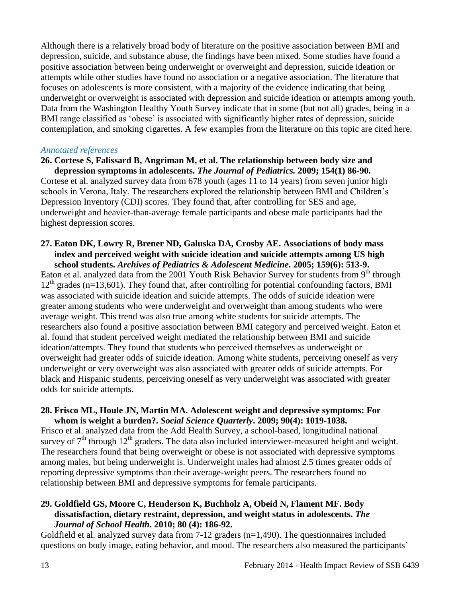Although there is a relatively broad body of literature on the positive association between BMI and depression, suicide, and substance abuse, the findings have been mixed. Some studies have found a positive association between being underweight or overweight and depression, suicide ideation or attempts while other studies have found no association or a negative association. The literature that focuses on adolescents is more consistent, with a majority of the evidence indicating that being underweight or overweight is associated with depression and suicide ideation or attempts among youth. Data from the Washington Healthy Youth Survey indicate that in some (but not all) grades, being in a BMI range classified as 'obese' is associated with significantly higher rates of depression, suicide contemplation, and smoking cigarettes. A few examples from the literature on this topic are cited here.

#### *Annotated references*

#### **26. Cortese S, Falissard B, Angriman M, et al. The relationship between body size and depression symptoms in adolescents.** *The Journal of Pediatrics.* **2009; 154(1) 86-90.**

Cortese et al. analyzed survey data from 678 youth (ages 11 to 14 years) from seven junior high schools in Verona, Italy. The researchers explored the relationship between BMI and Children's Depression Inventory (CDI) scores. They found that, after controlling for SES and age, underweight and heavier-than-average female participants and obese male participants had the highest depression scores.

#### **27. Eaton DK, Lowry R, Brener ND, Galuska DA, Crosby AE. Associations of body mass index and perceived weight with suicide ideation and suicide attempts among US high school students.** *Archives of Pediatrics & Adolescent Medicine***. 2005; 159(6): 513-9.**

Eaton et al. analyzed data from the 2001 Youth Risk Behavior Survey for students from  $9<sup>th</sup>$  through  $12<sup>th</sup>$  grades (n=13,601). They found that, after controlling for potential confounding factors, BMI was associated with suicide ideation and suicide attempts. The odds of suicide ideation were greater among students who were underweight and overweight than among students who were average weight. This trend was also true among white students for suicide attempts. The researchers also found a positive association between BMI category and perceived weight. Eaton et al. found that student perceived weight mediated the relationship between BMI and suicide ideation/attempts. They found that students who perceived themselves as underweight or overweight had greater odds of suicide ideation. Among white students, perceiving oneself as very underweight or very overweight was also associated with greater odds of suicide attempts. For black and Hispanic students, perceiving oneself as very underweight was associated with greater odds for suicide attempts.

#### **28. Frisco ML, Houle JN, Martin MA. Adolescent weight and depressive symptoms: For whom is weight a burden?.** *Social Science Quarterly***. 2009; 90(4): 1019-1038.**

Frisco et al. analyzed data from the Add Health Survey, a school-based, longitudinal national survey of  $7<sup>th</sup>$  through  $12<sup>th</sup>$  graders. The data also included interviewer-measured height and weight. The researchers found that being overweight or obese is not associated with depressive symptoms among males, but being underweight is. Underweight males had almost 2.5 times greater odds of reporting depressive symptoms than their average-weight peers. The researchers found no relationship between BMI and depressive symptoms for female participants.

### **29. Goldfield GS, Moore C, Henderson K, Buchholz A, Obeid N, Flament MF. Body dissatisfaction, dietary restraint, depression, and weight status in adolescents.** *The Journal of School Health***. 2010; 80 (4): 186-92.**

Goldfield et al. analyzed survey data from 7-12 graders (n=1,490). The questionnaires included questions on body image, eating behavior, and mood. The researchers also measured the participants'